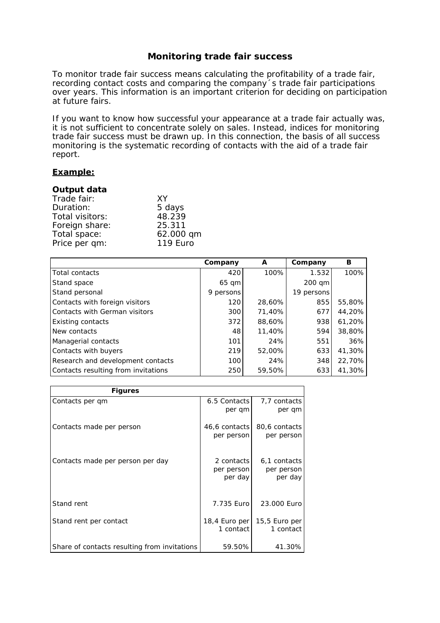## **Monitoring trade fair success**

To monitor trade fair success means calculating the profitability of a trade fair, recording contact costs and comparing the company´s trade fair participations over years. This information is an important criterion for deciding on participation at future fairs.

If you want to know how successful your appearance at a trade fair actually was, it is not sufficient to concentrate solely on sales. Instead, indices for monitoring trade fair success must be drawn up. In this connection, the basis of all success monitoring is the systematic recording of contacts with the aid of a trade fair report.

## **Example:**

## **Output data**

| XY              |
|-----------------|
| 5 days          |
| 48.239          |
| 25.311          |
| 62.000 qm       |
| <b>119 Euro</b> |
|                 |

|                                     | Company   | A      | Company    | в      |
|-------------------------------------|-----------|--------|------------|--------|
| Total contacts                      | 420       | 100%   | 1.532      | 100%   |
| Stand space                         | 65 qm     |        | 200 qm     |        |
| Stand personal                      | 9 persons |        | 19 persons |        |
| Contacts with foreign visitors      | 120       | 28,60% | 855        | 55,80% |
| Contacts with German visitors       | 300       | 71,40% | 677        | 44,20% |
| <b>Existing contacts</b>            | 372       | 88,60% | 938        | 61,20% |
| New contacts                        | 48        | 11,40% | 594        | 38,80% |
| Managerial contacts                 | 101       | 24%    | 551        | 36%    |
| Contacts with buyers                | 219       | 52,00% | 633        | 41,30% |
| Research and development contacts   | 100       | 24%    | 348        | 22,70% |
| Contacts resulting from invitations | 250       | 59,50% | 633        | 41,30% |

| <b>Figures</b>                               |                                     |                                       |
|----------------------------------------------|-------------------------------------|---------------------------------------|
| Contacts per gm                              | 6.5 Contacts<br>per gm              | 7.7 contacts<br>per qm                |
| Contacts made per person                     | 46,6 contacts<br>per person         | 80,6 contacts<br>per person           |
| Contacts made per person per day             | 2 contacts<br>per person<br>per day | 6,1 contacts<br>per person<br>per day |
| Stand rent                                   | 7.735 Eurol                         | 23.000 Euro                           |
| Stand rent per contact                       | 18,4 Euro per<br>1 contact          | 15,5 Euro per<br>1 contact            |
| Share of contacts resulting from invitations | 59.50%                              | 41.30%                                |